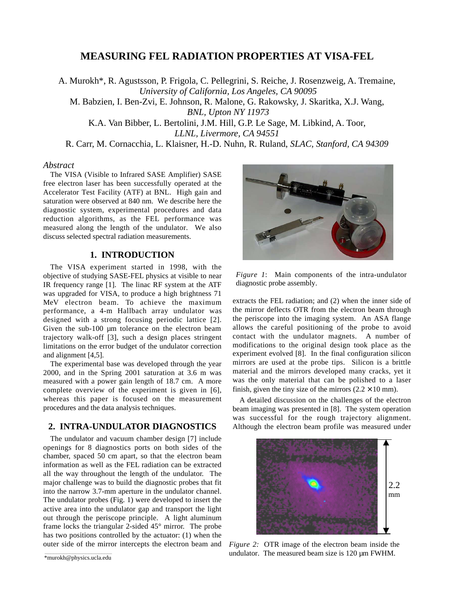# **MEASURING FEL RADIATION PROPERTIES AT VISA-FEL**

A. Murokh\*, R. Agustsson, P. Frigola, C. Pellegrini, S. Reiche, J. Rosenzweig, A. Tremaine, *University of California, Los Angeles, CA 90095* M. Babzien, I. Ben-Zvi, E. Johnson, R. Malone, G. Rakowsky, J. Skaritka, X.J. Wang, *BNL, Upton NY 11973* K.A. Van Bibber, L. Bertolini, J.M. Hill, G.P. Le Sage, M. Libkind, A. Toor, *LLNL, Livermore, CA 94551*

R. Carr, M. Cornacchia, L. Klaisner, H.-D. Nuhn, R. Ruland, *SLAC, Stanford, CA 94309*

#### *Abstract*

The VISA (Visible to Infrared SASE Amplifier) SASE free electron laser has been successfully operated at the Accelerator Test Facility (ATF) at BNL. High gain and saturation were observed at 840 nm. We describe here the diagnostic system, experimental procedures and data reduction algorithms, as the FEL performance was measured along the length of the undulator. We also discuss selected spectral radiation measurements.

### **1. INTRODUCTION**

The VISA experiment started in 1998, with the objective of studying SASE-FEL physics at visible to near IR frequency range [1]. The linac RF system at the ATF was upgraded for VISA, to produce a high brightness 71 MeV electron beam. To achieve the maximum performance, a 4-m Hallbach array undulator was designed with a strong focusing periodic lattice [2]. Given the sub-100 µm tolerance on the electron beam trajectory walk-off [3], such a design places stringent limitations on the error budget of the undulator correction and alignment [4,5].

The experimental base was developed through the year 2000, and in the Spring 2001 saturation at 3.6 m was measured with a power gain length of 18.7 cm. A more complete overview of the experiment is given in [6], whereas this paper is focused on the measurement procedures and the data analysis techniques.

## **2. INTRA-UNDULATOR DIAGNOSTICS**

The undulator and vacuum chamber design [7] include openings for 8 diagnostics ports on both sides of the chamber, spaced 50 cm apart, so that the electron beam information as well as the FEL radiation can be extracted all the way throughout the length of the undulator. The major challenge was to build the diagnostic probes that fit into the narrow 3.7-mm aperture in the undulator channel. The undulator probes (Fig. 1) were developed to insert the active area into the undulator gap and transport the light out through the periscope principle. A light aluminum frame locks the triangular 2-sided 45° mirror. The probe has two positions controlled by the actuator: (1) when the outer side of the mirror intercepts the electron beam and



*Figure 1*: Main components of the intra-undulator diagnostic probe assembly.

extracts the FEL radiation; and (2) when the inner side of the mirror deflects OTR from the electron beam through the periscope into the imaging system. An ASA flange allows the careful positioning of the probe to avoid contact with the undulator magnets. A number of modifications to the original design took place as the experiment evolved [8]. In the final configuration silicon mirrors are used at the probe tips. Silicon is a brittle material and the mirrors developed many cracks, yet it was the only material that can be polished to a laser finish, given the tiny size of the mirrors  $(2.2 \times 10 \text{ mm})$ .

A detailed discussion on the challenges of the electron beam imaging was presented in [8]. The system operation was successful for the rough trajectory alignment. Although the electron beam profile was measured under



*Figure 2:* OTR image of the electron beam inside the undulator. The measured beam size is 120  $\mu$ m FWHM.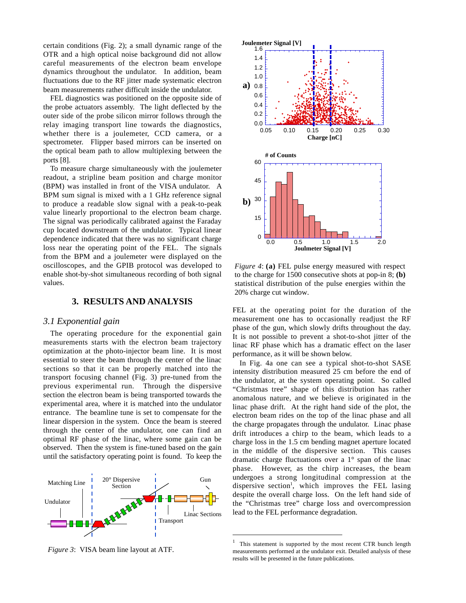certain conditions (Fig. 2); a small dynamic range of the OTR and a high optical noise background did not allow careful measurements of the electron beam envelope dynamics throughout the undulator. In addition, beam fluctuations due to the RF jitter made systematic electron beam measurements rather difficult inside the undulator.

FEL diagnostics was positioned on the opposite side of the probe actuators assembly. The light deflected by the outer side of the probe silicon mirror follows through the relay imaging transport line towards the diagnostics, whether there is a joulemeter, CCD camera, or a spectrometer. Flipper based mirrors can be inserted on the optical beam path to allow multiplexing between the ports [8].

To measure charge simultaneously with the joulemeter readout, a stripline beam position and charge monitor (BPM) was installed in front of the VISA undulator. A BPM sum signal is mixed with a 1 GHz reference signal to produce a readable slow signal with a peak-to-peak value linearly proportional to the electron beam charge. The signal was periodically calibrated against the Faraday cup located downstream of the undulator. Typical linear dependence indicated that there was no significant charge loss near the operating point of the FEL. The signals from the BPM and a joulemeter were displayed on the oscilloscopes, and the GPIB protocol was developed to enable shot-by-shot simultaneous recording of both signal values.

## **3. RESULTS AND ANALYSIS**

#### *3.1 Exponential gain*

The operating procedure for the exponential gain measurements starts with the electron beam trajectory optimization at the photo-injector beam line. It is most essential to steer the beam through the center of the linac sections so that it can be properly matched into the transport focusing channel (Fig. 3) pre-tuned from the previous experimental run. Through the dispersive section the electron beam is being transported towards the experimental area, where it is matched into the undulator entrance. The beamline tune is set to compensate for the linear dispersion in the system. Once the beam is steered through the center of the undulator, one can find an optimal RF phase of the linac, where some gain can be observed. Then the system is fine-tuned based on the gain until the satisfactory operating point is found. To keep the



*Figure 3*: VISA beam line layout at ATF.



*Figure 4*: **(a)** FEL pulse energy measured with respect to the charge for 1500 consecutive shots at pop-in 8; **(b)** statistical distribution of the pulse energies within the 20% charge cut window.

FEL at the operating point for the duration of the measurement one has to occasionally readjust the RF phase of the gun, which slowly drifts throughout the day. It is not possible to prevent a shot-to-shot jitter of the linac RF phase which has a dramatic effect on the laser performance, as it will be shown below.

In Fig. 4a one can see a typical shot-to-shot SASE intensity distribution measured 25 cm before the end of the undulator, at the system operating point. So called "Christmas tree" shape of this distribution has rather anomalous nature, and we believe is originated in the linac phase drift. At the right hand side of the plot, the electron beam rides on the top of the linac phase and all the charge propagates through the undulator. Linac phase drift introduces a chirp to the beam, which leads to a charge loss in the 1.5 cm bending magnet aperture located in the middle of the dispersive section. This causes dramatic charge fluctuations over a 1° span of the linac phase. However, as the chirp increases, the beam undergoes a strong longitudinal compression at the dispersive section<sup>1</sup>, which improves the FEL lasing despite the overall charge loss. On the left hand side of the "Christmas tree" charge loss and overcompression lead to the FEL performance degradation.

 $\overline{a}$ 

<sup>1</sup> This statement is supported by the most recent CTR bunch length measurements performed at the undulator exit. Detailed analysis of these results will be presented in the future publications.